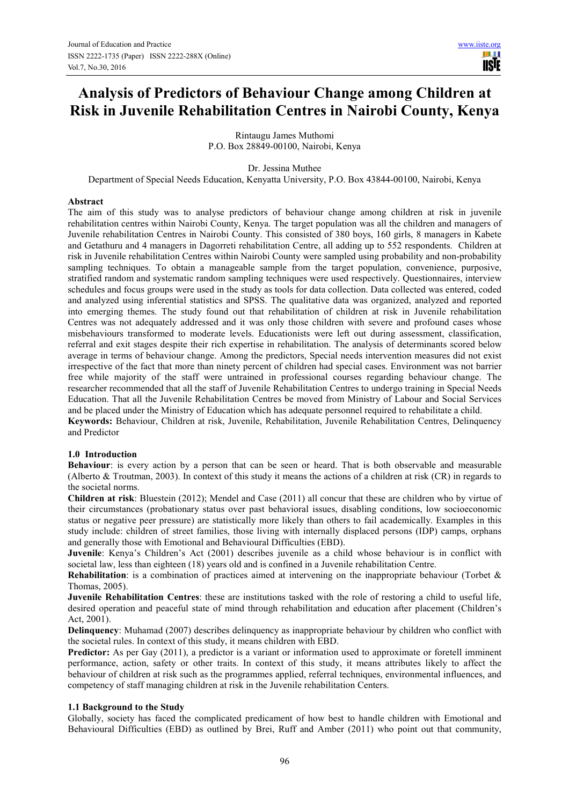m **TISIE** 

# **Analysis of Predictors of Behaviour Change among Children at Risk in Juvenile Rehabilitation Centres in Nairobi County, Kenya**

Rintaugu James Muthomi P.O. Box 28849-00100, Nairobi, Kenya

Dr. Jessina Muthee

Department of Special Needs Education, Kenyatta University, P.O. Box 43844-00100, Nairobi, Kenya

#### **Abstract**

The aim of this study was to analyse predictors of behaviour change among children at risk in juvenile rehabilitation centres within Nairobi County, Kenya. The target population was all the children and managers of Juvenile rehabilitation Centres in Nairobi County. This consisted of 380 boys, 160 girls, 8 managers in Kabete and Getathuru and 4 managers in Dagorreti rehabilitation Centre, all adding up to 552 respondents. Children at risk in Juvenile rehabilitation Centres within Nairobi County were sampled using probability and non-probability sampling techniques. To obtain a manageable sample from the target population, convenience, purposive, stratified random and systematic random sampling techniques were used respectively. Questionnaires, interview schedules and focus groups were used in the study as tools for data collection. Data collected was entered, coded and analyzed using inferential statistics and SPSS. The qualitative data was organized, analyzed and reported into emerging themes. The study found out that rehabilitation of children at risk in Juvenile rehabilitation Centres was not adequately addressed and it was only those children with severe and profound cases whose misbehaviours transformed to moderate levels. Educationists were left out during assessment, classification, referral and exit stages despite their rich expertise in rehabilitation. The analysis of determinants scored below average in terms of behaviour change. Among the predictors, Special needs intervention measures did not exist irrespective of the fact that more than ninety percent of children had special cases. Environment was not barrier free while majority of the staff were untrained in professional courses regarding behaviour change. The researcher recommended that all the staff of Juvenile Rehabilitation Centres to undergo training in Special Needs Education. That all the Juvenile Rehabilitation Centres be moved from Ministry of Labour and Social Services and be placed under the Ministry of Education which has adequate personnel required to rehabilitate a child. **Keywords:** Behaviour, Children at risk, Juvenile, Rehabilitation, Juvenile Rehabilitation Centres, Delinquency and Predictor

#### **1.0 Introduction**

**Behaviour**: is every action by a person that can be seen or heard. That is both observable and measurable (Alberto & Troutman, 2003). In context of this study it means the actions of a children at risk (CR) in regards to the societal norms.

**Children at risk**: Bluestein (2012); Mendel and Case (2011) all concur that these are children who by virtue of their circumstances (probationary status over past behavioral issues, disabling conditions, low socioeconomic status or negative peer pressure) are statistically more likely than others to fail academically. Examples in this study include: children of street families, those living with internally displaced persons (IDP) camps, orphans and generally those with Emotional and Behavioural Difficulties (EBD).

**Juvenile**: Kenya's Children's Act (2001) describes juvenile as a child whose behaviour is in conflict with societal law, less than eighteen (18) years old and is confined in a Juvenile rehabilitation Centre.

**Rehabilitation**: is a combination of practices aimed at intervening on the inappropriate behaviour (Torbet & Thomas, 2005).

**Juvenile Rehabilitation Centres**: these are institutions tasked with the role of restoring a child to useful life, desired operation and peaceful state of mind through rehabilitation and education after placement (Children's Act, 2001).

**Delinquency**: Muhamad (2007) describes delinquency as inappropriate behaviour by children who conflict with the societal rules. In context of this study, it means children with EBD.

**Predictor:** As per Gay (2011), a predictor is a variant or information used to approximate or foretell imminent performance, action, safety or other traits. In context of this study, it means attributes likely to affect the behaviour of children at risk such as the programmes applied, referral techniques, environmental influences, and competency of staff managing children at risk in the Juvenile rehabilitation Centers.

#### **1.1 Background to the Study**

Globally, society has faced the complicated predicament of how best to handle children with Emotional and Behavioural Difficulties (EBD) as outlined by Brei, Ruff and Amber (2011) who point out that community,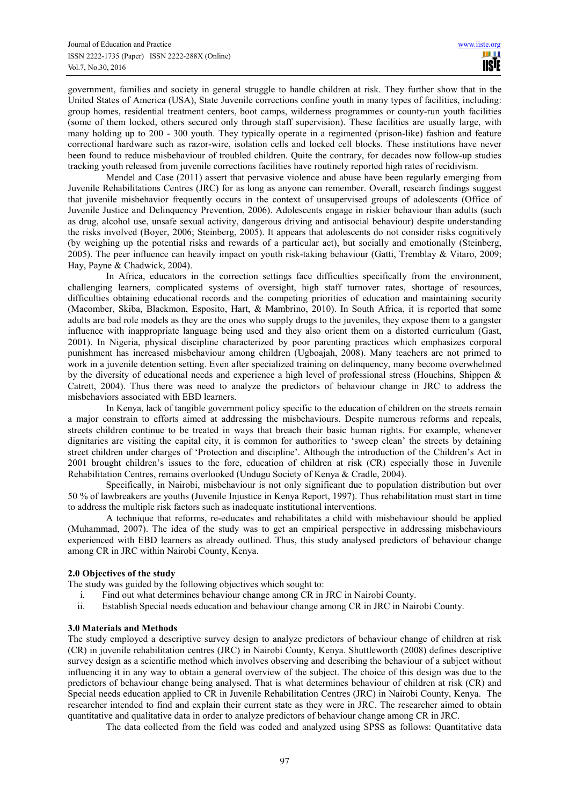government, families and society in general struggle to handle children at risk. They further show that in the United States of America (USA), State Juvenile corrections confine youth in many types of facilities, including: group homes, residential treatment centers, boot camps, wilderness programmes or county-run youth facilities (some of them locked, others secured only through staff supervision). These facilities are usually large, with many holding up to 200 - 300 youth. They typically operate in a regimented (prison-like) fashion and feature correctional hardware such as razor-wire, isolation cells and locked cell blocks. These institutions have never been found to reduce misbehaviour of troubled children. Quite the contrary, for decades now follow-up studies tracking youth released from juvenile corrections facilities have routinely reported high rates of recidivism.

Mendel and Case (2011) assert that pervasive violence and abuse have been regularly emerging from Juvenile Rehabilitations Centres (JRC) for as long as anyone can remember. Overall, research findings suggest that juvenile misbehavior frequently occurs in the context of unsupervised groups of adolescents (Office of Juvenile Justice and Delinquency Prevention, 2006). Adolescents engage in riskier behaviour than adults (such as drug, alcohol use, unsafe sexual activity, dangerous driving and antisocial behaviour) despite understanding the risks involved (Boyer, 2006; Steinberg, 2005). It appears that adolescents do not consider risks cognitively (by weighing up the potential risks and rewards of a particular act), but socially and emotionally (Steinberg, 2005). The peer influence can heavily impact on youth risk-taking behaviour (Gatti, Tremblay & Vitaro, 2009; Hay, Payne & Chadwick, 2004).

In Africa, educators in the correction settings face difficulties specifically from the environment, challenging learners, complicated systems of oversight, high staff turnover rates, shortage of resources, difficulties obtaining educational records and the competing priorities of education and maintaining security (Macomber, Skiba, Blackmon, Esposito, Hart, & Mambrino, 2010). In South Africa, it is reported that some adults are bad role models as they are the ones who supply drugs to the juveniles, they expose them to a gangster influence with inappropriate language being used and they also orient them on a distorted curriculum (Gast, 2001). In Nigeria, physical discipline characterized by poor parenting practices which emphasizes corporal punishment has increased misbehaviour among children (Ugboajah, 2008). Many teachers are not primed to work in a juvenile detention setting. Even after specialized training on delinquency, many become overwhelmed by the diversity of educational needs and experience a high level of professional stress (Houchins, Shippen & Catrett, 2004). Thus there was need to analyze the predictors of behaviour change in JRC to address the misbehaviors associated with EBD learners.

In Kenya, lack of tangible government policy specific to the education of children on the streets remain a major constrain to efforts aimed at addressing the misbehaviours. Despite numerous reforms and repeals, streets children continue to be treated in ways that breach their basic human rights. For example, whenever dignitaries are visiting the capital city, it is common for authorities to 'sweep clean' the streets by detaining street children under charges of 'Protection and discipline'. Although the introduction of the Children's Act in 2001 brought children's issues to the fore, education of children at risk (CR) especially those in Juvenile Rehabilitation Centres, remains overlooked (Undugu Society of Kenya & Cradle, 2004).

Specifically, in Nairobi, misbehaviour is not only significant due to population distribution but over 50 % of lawbreakers are youths (Juvenile Injustice in Kenya Report, 1997). Thus rehabilitation must start in time to address the multiple risk factors such as inadequate institutional interventions.

A technique that reforms, re-educates and rehabilitates a child with misbehaviour should be applied (Muhammad, 2007). The idea of the study was to get an empirical perspective in addressing misbehaviours experienced with EBD learners as already outlined. Thus, this study analysed predictors of behaviour change among CR in JRC within Nairobi County, Kenya.

## **2.0 Objectives of the study**

The study was guided by the following objectives which sought to:

- i. Find out what determines behaviour change among CR in JRC in Nairobi County.
- ii. Establish Special needs education and behaviour change among CR in JRC in Nairobi County.

## **3.0 Materials and Methods**

The study employed a descriptive survey design to analyze predictors of behaviour change of children at risk (CR) in juvenile rehabilitation centres (JRC) in Nairobi County, Kenya. Shuttleworth (2008) defines descriptive survey design as a scientific method which involves observing and describing the behaviour of a subject without influencing it in any way to obtain a general overview of the subject. The choice of this design was due to the predictors of behaviour change being analysed. That is what determines behaviour of children at risk (CR) and Special needs education applied to CR in Juvenile Rehabilitation Centres (JRC) in Nairobi County, Kenya. The researcher intended to find and explain their current state as they were in JRC. The researcher aimed to obtain quantitative and qualitative data in order to analyze predictors of behaviour change among CR in JRC.

The data collected from the field was coded and analyzed using SPSS as follows: Quantitative data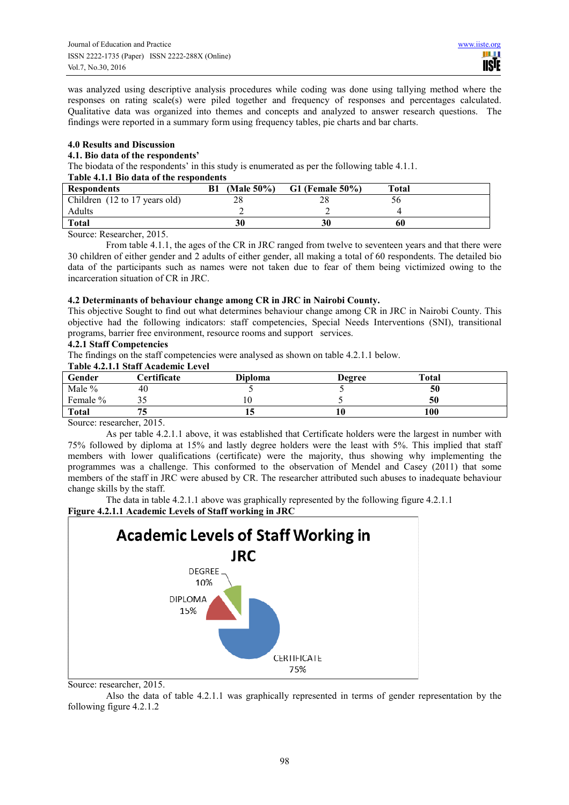was analyzed using descriptive analysis procedures while coding was done using tallying method where the responses on rating scale(s) were piled together and frequency of responses and percentages calculated. Qualitative data was organized into themes and concepts and analyzed to answer research questions. The findings were reported in a summary form using frequency tables, pie charts and bar charts.

## **4.0 Results and Discussion**

## **4.1. Bio data of the respondents'**

The biodata of the respondents' in this study is enumerated as per the following table 4.1.1.

## **Table 4.1.1 Bio data of the respondents**

| Table 7.1.1 Div data of the respondents |            |                   |       |  |  |  |
|-----------------------------------------|------------|-------------------|-------|--|--|--|
| <b>Respondents</b>                      | (Male 50%) | $G1$ (Female 50%) | Total |  |  |  |
| Children (12 to 17 years old)           |            |                   | эu    |  |  |  |
| Adults                                  |            |                   |       |  |  |  |
| <b>Total</b>                            | 30         |                   |       |  |  |  |
|                                         |            |                   |       |  |  |  |

Source: Researcher, 2015.

From table 4.1.1, the ages of the CR in JRC ranged from twelve to seventeen years and that there were 30 children of either gender and 2 adults of either gender, all making a total of 60 respondents. The detailed bio data of the participants such as names were not taken due to fear of them being victimized owing to the incarceration situation of CR in JRC.

#### **4.2 Determinants of behaviour change among CR in JRC in Nairobi County.**

This objective Sought to find out what determines behaviour change among CR in JRC in Nairobi County. This objective had the following indicators: staff competencies, Special Needs Interventions (SNI), transitional programs, barrier free environment, resource rooms and support services.

## **4.2.1 Staff Competencies**

The findings on the staff competencies were analysed as shown on table 4.2.1.1 below.

## **Table 4.2.1.1 Staff Academic Level**

| Gender       | <b>Certificate</b> | <b>Diploma</b> | <b>Degree</b> | Total |  |  |
|--------------|--------------------|----------------|---------------|-------|--|--|
| Male %       | 40                 |                |               | 50    |  |  |
| Female %     |                    |                |               | 50    |  |  |
| <b>Total</b> |                    |                |               | 100   |  |  |
|              |                    |                |               |       |  |  |

Source: researcher, 2015.

As per table 4.2.1.1 above, it was established that Certificate holders were the largest in number with 75% followed by diploma at 15% and lastly degree holders were the least with 5%. This implied that staff members with lower qualifications (certificate) were the majority, thus showing why implementing the programmes was a challenge. This conformed to the observation of Mendel and Casey (2011) that some members of the staff in JRC were abused by CR. The researcher attributed such abuses to inadequate behaviour change skills by the staff.

The data in table 4.2.1.1 above was graphically represented by the following figure 4.2.1.1 **Figure 4.2.1.1 Academic Levels of Staff working in JRC** 



Source: researcher, 2015.

Also the data of table 4.2.1.1 was graphically represented in terms of gender representation by the following figure 4.2.1.2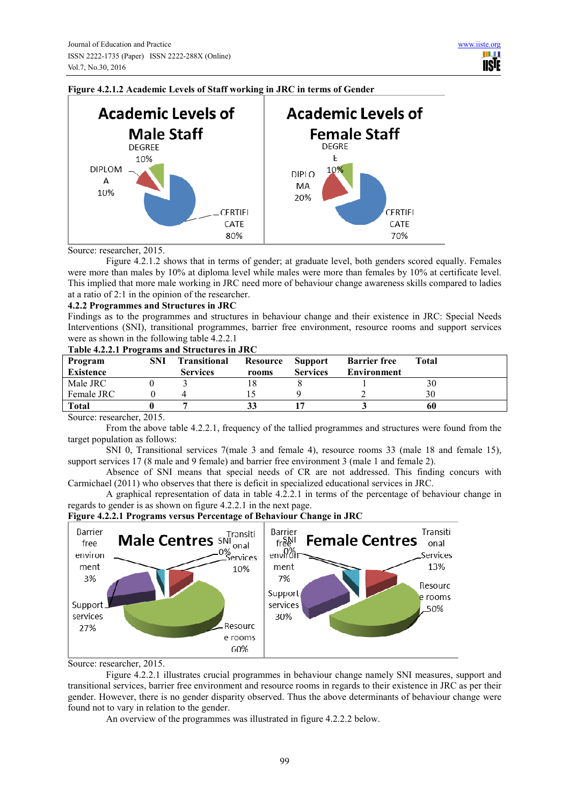



Source: researcher, 2015.

Figure 4.2.1.2 shows that in terms of gender; at graduate level, both genders scored equally. Females were more than males by 10% at diploma level while males were more than females by 10% at certificate level. This implied that more male working in JRC need more of behaviour change awareness skills compared to ladies at a ratio of 2:1 in the opinion of the researcher.

#### **4.2.2 Programmes and Structures in JRC**

Findings as to the programmes and structures in behaviour change and their existence in JRC: Special Needs Interventions (SNI), transitional programmes, barrier free environment, resource rooms and support services were as shown in the following table 4.2.2.1

#### **Table 4.2.2.1 Programs and Structures in JRC**

| Program<br><b>Existence</b> | SNI | <b>Transitional</b><br><b>Services</b> | Resource | <b>Support</b><br><b>Services</b> | <b>Barrier free</b><br><b>Environment</b> | Total |
|-----------------------------|-----|----------------------------------------|----------|-----------------------------------|-------------------------------------------|-------|
|                             |     |                                        | rooms    |                                   |                                           |       |
| Male JRC                    |     |                                        |          |                                   |                                           | 30    |
| Female JRC                  |     |                                        |          |                                   |                                           |       |
| <b>Total</b>                |     |                                        |          |                                   |                                           | 60    |

Source: researcher, 2015.

From the above table 4.2.2.1, frequency of the tallied programmes and structures were found from the target population as follows:

SNI 0, Transitional services 7(male 3 and female 4), resource rooms 33 (male 18 and female 15), support services 17 (8 male and 9 female) and barrier free environment 3 (male 1 and female 2).

Absence of SNI means that special needs of CR are not addressed. This finding concurs with Carmichael (2011) who observes that there is deficit in specialized educational services in JRC.

A graphical representation of data in table 4.2.2.1 in terms of the percentage of behaviour change in regards to gender is as shown on figure 4.2.2.1 in the next page.



**Figure 4.2.2.1 Programs versus Percentage of Behaviour Change in JRC** 

Source: researcher, 2015.

Figure 4.2.2.1 illustrates crucial programmes in behaviour change namely SNI measures, support and transitional services, barrier free environment and resource rooms in regards to their existence in JRC as per their gender. However, there is no gender disparity observed. Thus the above determinants of behaviour change were found not to vary in relation to the gender.

An overview of the programmes was illustrated in figure 4.2.2.2 below.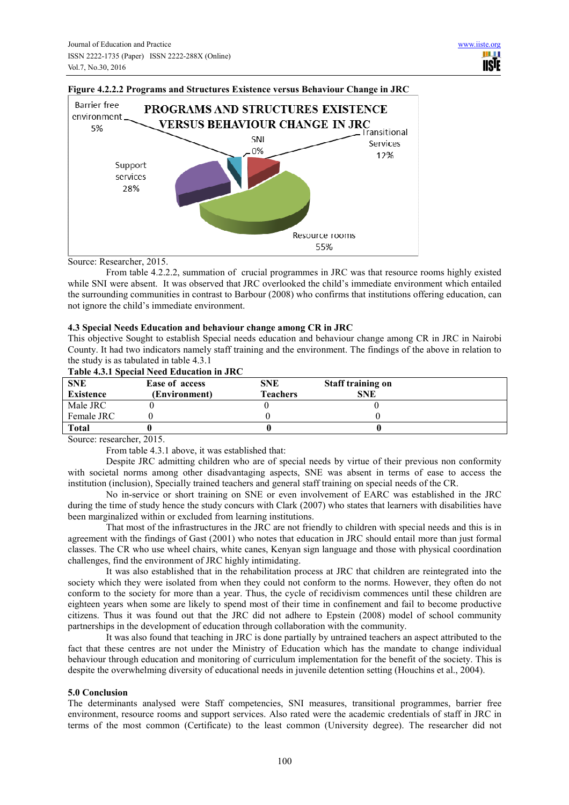

#### **Figure 4.2.2.2 Programs and Structures Existence versus Behaviour Change in JRC**

#### Source: Researcher, 2015.

From table 4.2.2.2, summation of crucial programmes in JRC was that resource rooms highly existed while SNI were absent. It was observed that JRC overlooked the child's immediate environment which entailed the surrounding communities in contrast to Barbour (2008) who confirms that institutions offering education, can not ignore the child's immediate environment.

#### **4.3 Special Needs Education and behaviour change among CR in JRC**

This objective Sought to establish Special needs education and behaviour change among CR in JRC in Nairobi County. It had two indicators namely staff training and the environment. The findings of the above in relation to the study is as tabulated in table 4.3.1

#### **Table 4.3.1 Special Need Education in JRC**

| Tuble non special reed Buddhon in the |                       |                 |                          |  |  |  |
|---------------------------------------|-----------------------|-----------------|--------------------------|--|--|--|
| <b>SNE</b>                            | <b>Ease of access</b> | SNE             | <b>Staff training on</b> |  |  |  |
| <b>Existence</b>                      | (Environment)         | <b>Teachers</b> | <b>SNE</b>               |  |  |  |
| Male JRC                              |                       |                 |                          |  |  |  |
| Female JRC                            |                       |                 |                          |  |  |  |
| <b>Total</b>                          |                       |                 |                          |  |  |  |

Source: researcher, 2015.

From table 4.3.1 above, it was established that:

Despite JRC admitting children who are of special needs by virtue of their previous non conformity with societal norms among other disadvantaging aspects, SNE was absent in terms of ease to access the institution (inclusion), Specially trained teachers and general staff training on special needs of the CR.

No in-service or short training on SNE or even involvement of EARC was established in the JRC during the time of study hence the study concurs with Clark (2007) who states that learners with disabilities have been marginalized within or excluded from learning institutions.

That most of the infrastructures in the JRC are not friendly to children with special needs and this is in agreement with the findings of Gast (2001) who notes that education in JRC should entail more than just formal classes. The CR who use wheel chairs, white canes, Kenyan sign language and those with physical coordination challenges, find the environment of JRC highly intimidating.

It was also established that in the rehabilitation process at JRC that children are reintegrated into the society which they were isolated from when they could not conform to the norms. However, they often do not conform to the society for more than a year. Thus, the cycle of recidivism commences until these children are eighteen years when some are likely to spend most of their time in confinement and fail to become productive citizens. Thus it was found out that the JRC did not adhere to Epstein (2008) model of school community partnerships in the development of education through collaboration with the community.

It was also found that teaching in JRC is done partially by untrained teachers an aspect attributed to the fact that these centres are not under the Ministry of Education which has the mandate to change individual behaviour through education and monitoring of curriculum implementation for the benefit of the society. This is despite the overwhelming diversity of educational needs in juvenile detention setting (Houchins et al., 2004).

#### **5.0 Conclusion**

The determinants analysed were Staff competencies, SNI measures, transitional programmes, barrier free environment, resource rooms and support services. Also rated were the academic credentials of staff in JRC in terms of the most common (Certificate) to the least common (University degree). The researcher did not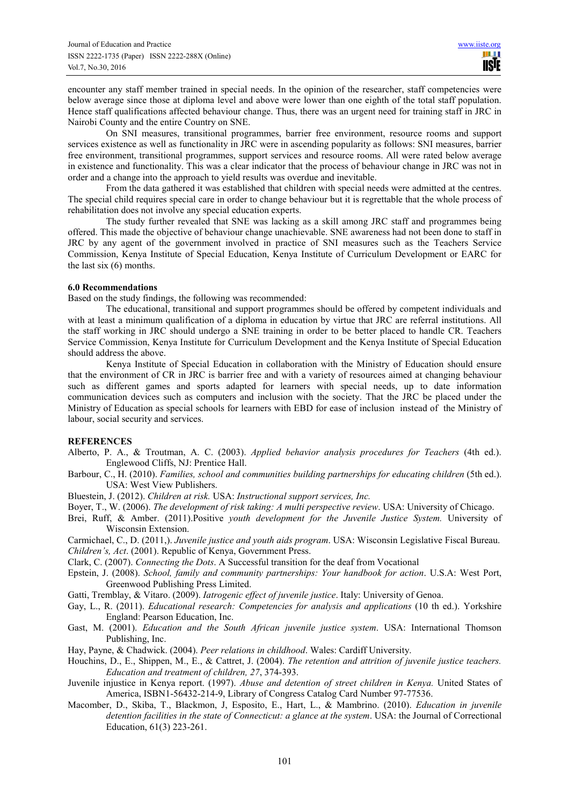encounter any staff member trained in special needs. In the opinion of the researcher, staff competencies were below average since those at diploma level and above were lower than one eighth of the total staff population. Hence staff qualifications affected behaviour change. Thus, there was an urgent need for training staff in JRC in Nairobi County and the entire Country on SNE.

On SNI measures, transitional programmes, barrier free environment, resource rooms and support services existence as well as functionality in JRC were in ascending popularity as follows: SNI measures, barrier free environment, transitional programmes, support services and resource rooms. All were rated below average in existence and functionality. This was a clear indicator that the process of behaviour change in JRC was not in order and a change into the approach to yield results was overdue and inevitable.

From the data gathered it was established that children with special needs were admitted at the centres. The special child requires special care in order to change behaviour but it is regrettable that the whole process of rehabilitation does not involve any special education experts.

The study further revealed that SNE was lacking as a skill among JRC staff and programmes being offered. This made the objective of behaviour change unachievable. SNE awareness had not been done to staff in JRC by any agent of the government involved in practice of SNI measures such as the Teachers Service Commission, Kenya Institute of Special Education, Kenya Institute of Curriculum Development or EARC for the last six (6) months.

## **6.0 Recommendations**

Based on the study findings, the following was recommended:

The educational, transitional and support programmes should be offered by competent individuals and with at least a minimum qualification of a diploma in education by virtue that JRC are referral institutions. All the staff working in JRC should undergo a SNE training in order to be better placed to handle CR. Teachers Service Commission, Kenya Institute for Curriculum Development and the Kenya Institute of Special Education should address the above.

Kenya Institute of Special Education in collaboration with the Ministry of Education should ensure that the environment of CR in JRC is barrier free and with a variety of resources aimed at changing behaviour such as different games and sports adapted for learners with special needs, up to date information communication devices such as computers and inclusion with the society. That the JRC be placed under the Ministry of Education as special schools for learners with EBD for ease of inclusion instead of the Ministry of labour, social security and services.

## **REFERENCES**

- Alberto, P. A., & Troutman, A. C. (2003). *Applied behavior analysis procedures for Teachers* (4th ed.). Englewood Cliffs, NJ: Prentice Hall.
- Barbour, C., H. (2010). *Families, school and communities building partnerships for educating children* (5th ed.). USA: West View Publishers.
- Bluestein, J. (2012). *Children at risk.* USA: *Instructional support services, Inc.*
- Boyer, T., W. (2006). *The development of risk taking: A multi perspective review*. USA: University of Chicago.
- Brei, Ruff, & Amber. (2011).Positive *youth development for the Juvenile Justice System.* University of Wisconsin Extension.

Carmichael, C., D. (2011,). *Juvenile justice and youth aids program*. USA: Wisconsin Legislative Fiscal Bureau. *Children's, Act*. (2001). Republic of Kenya, Government Press.

- Clark, C. (2007). *Connecting the Dots*. A Successful transition for the deaf from Vocational
- Epstein, J. (2008). *School, family and community partnerships: Your handbook for action*. U.S.A: West Port, Greenwood Publishing Press Limited.
- Gatti, Tremblay, & Vitaro. (2009). *Iatrogenic effect of juvenile justice*. Italy: University of Genoa.
- Gay, L., R. (2011). *Educational research: Competencies for analysis and applications* (10 th ed.). Yorkshire England: Pearson Education, Inc.
- Gast, M. (2001). *Education and the South African juvenile justice system*. USA: International Thomson Publishing, Inc.
- Hay, Payne, & Chadwick. (2004). *Peer relations in childhood*. Wales: Cardiff University.
- Houchins, D., E., Shippen, M., E., & Cattret, J. (2004). *The retention and attrition of juvenile justice teachers. Education and treatment of children, 27*, 374-393.
- Juvenile injustice in Kenya report. (1997). *Abuse and detention of street children in Kenya.* United States of America, ISBN1-56432-214-9, Library of Congress Catalog Card Number 97-77536.
- Macomber, D., Skiba, T., Blackmon, J, Esposito, E., Hart, L., & Mambrino. (2010). *Education in juvenile detention facilities in the state of Connecticut: a glance at the system*. USA: the Journal of Correctional Education, 61(3) 223-261.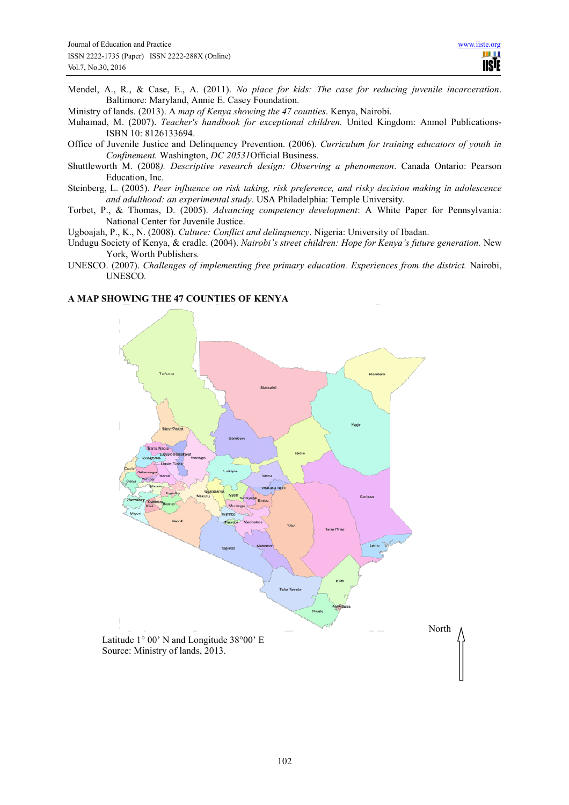Mendel, A., R., & Case, E., A. (2011). *No place for kids: The case for reducing juvenile incarceration*. Baltimore: Maryland, Annie E. Casey Foundation.

Ministry of lands. (2013). A *map of Kenya showing the 47 counties*. Kenya, Nairobi.

- Muhamad, M. (2007). *Teacher's handbook for exceptional children.* United Kingdom: Anmol Publications-ISBN 10: 8126133694.
- Office of Juvenile Justice and Delinquency Prevention. (2006). *Curriculum for training educators of youth in Confinement.* Washington, *DC 20531*Official Business.
- Shuttleworth M. (2008*). Descriptive research design: Observing a phenomenon*. Canada Ontario: Pearson Education, Inc.
- Steinberg, L. (2005). *Peer influence on risk taking, risk preference, and risky decision making in adolescence and adulthood: an experimental study*. USA Philadelphia: Temple University.
- Torbet, P., & Thomas, D. (2005). *Advancing competency development*: A White Paper for Pennsylvania: National Center for Juvenile Justice.

Ugboajah, P., K., N. (2008). *Culture: Conflict and delinquency*. Nigeria: University of Ibadan.

- Undugu Society of Kenya, & cradle. (2004). *Nairobi's street children: Hope for Kenya's future generation.* New York, Worth Publishers*.*
- UNESCO. (2007). *Challenges of implementing free primary education. Experiences from the district.* Nairobi, UNESCO*.*

## **A MAP SHOWING THE 47 COUNTIES OF KENYA**